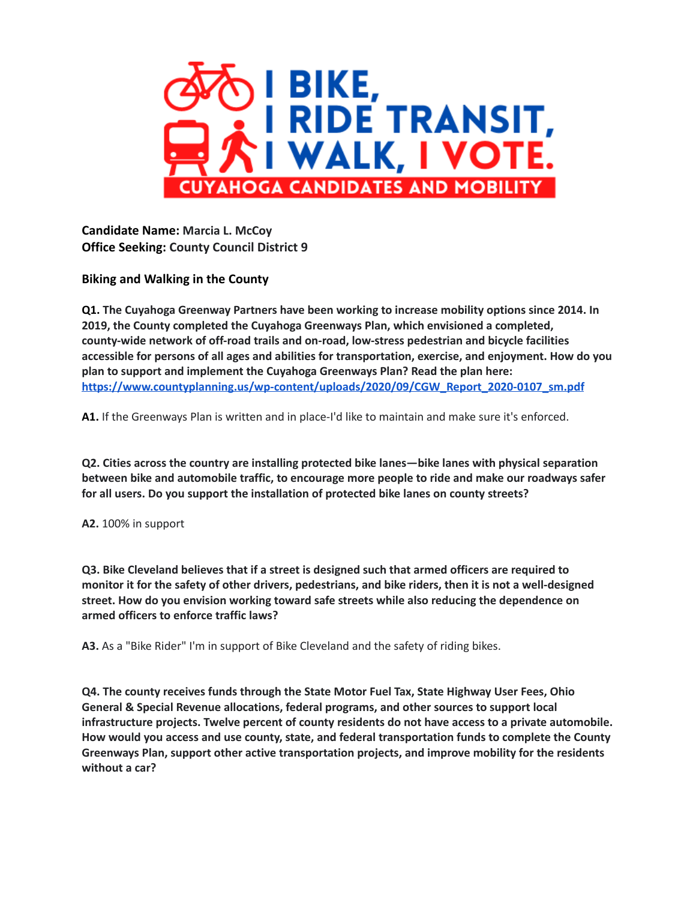

**Candidate Name: Marcia L. McCoy Office Seeking: County Council District 9**

**Biking and Walking in the County**

**Q1. The Cuyahoga Greenway Partners have been working to increase mobility options since 2014. In 2019, the County completed the Cuyahoga Greenways Plan, which envisioned a completed, county-wide network of off-road trails and on-road, low-stress pedestrian and bicycle facilities accessible for persons of all ages and abilities for transportation, exercise, and enjoyment. How do you plan to support and implement the Cuyahoga Greenways Plan? Read the plan here: [https://www.countyplanning.us/wp-content/uploads/2020/09/CGW\\_Report\\_2020-0107\\_sm.pdf](https://www.countyplanning.us/wp-content/uploads/2020/09/CGW_Report_2020-0107_sm.pdf)**

**A1.** If the Greenways Plan is written and in place-I'd like to maintain and make sure it's enforced.

**Q2. Cities across the country are installing protected bike lanes—bike lanes with physical separation between bike and automobile traffic, to encourage more people to ride and make our roadways safer for all users. Do you support the installation of protected bike lanes on county streets?**

## **A2.** 100% in support

**Q3. Bike Cleveland believes that if a street is designed such that armed officers are required to** monitor it for the safety of other drivers, pedestrians, and bike riders, then it is not a well-designed **street. How do you envision working toward safe streets while also reducing the dependence on armed officers to enforce traffic laws?**

**A3.** As a "Bike Rider" I'm in support of Bike Cleveland and the safety of riding bikes.

**Q4. The county receives funds through the State Motor Fuel Tax, State Highway User Fees, Ohio General & Special Revenue allocations, federal programs, and other sources to support local infrastructure projects. Twelve percent of county residents do not have access to a private automobile. How would you access and use county, state, and federal transportation funds to complete the County Greenways Plan, support other active transportation projects, and improve mobility for the residents without a car?**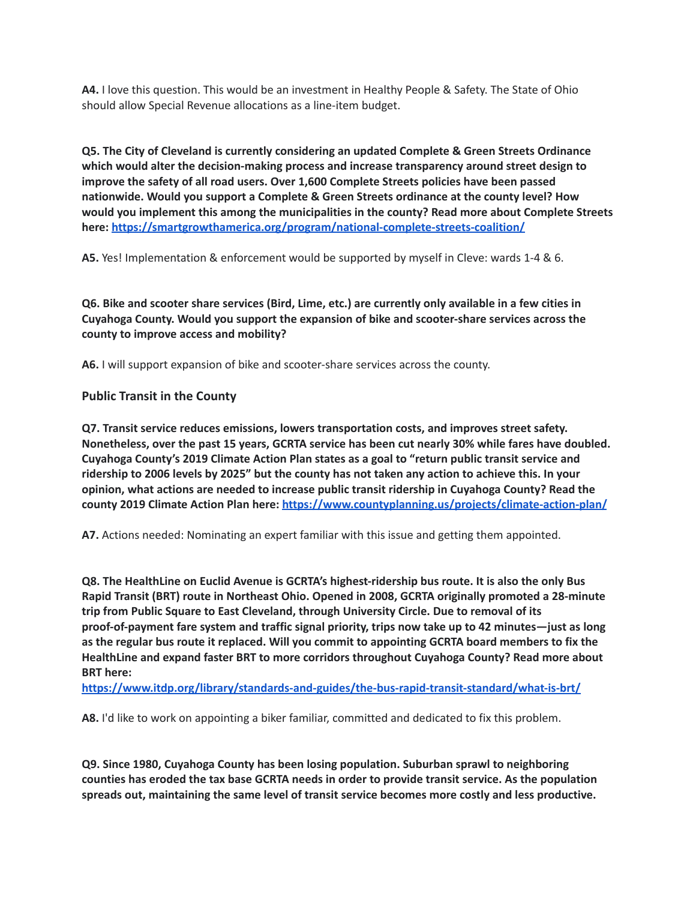**A4.** I love this question. This would be an investment in Healthy People & Safety. The State of Ohio should allow Special Revenue allocations as a line-item budget.

**Q5. The City of Cleveland is currently considering an updated Complete & Green Streets Ordinance which would alter the decision-making process and increase transparency around street design to improve the safety of all road users. Over 1,600 Complete Streets policies have been passed nationwide. Would you support a Complete & Green Streets ordinance at the county level? How would you implement this among the municipalities in the county? Read more about Complete Streets here: <https://smartgrowthamerica.org/program/national-complete-streets-coalition/>**

**A5.** Yes! Implementation & enforcement would be supported by myself in Cleve: wards 1-4 & 6.

Q6. Bike and scooter share services (Bird, Lime, etc.) are currently only available in a few cities in **Cuyahoga County. Would you support the expansion of bike and scooter-share services across the county to improve access and mobility?**

**A6.** I will support expansion of bike and scooter-share services across the county.

## **Public Transit in the County**

**Q7. Transit service reduces emissions, lowers transportation costs, and improves street safety. Nonetheless, over the past 15 years, GCRTA service has been cut nearly 30% while fares have doubled. Cuyahoga County's 2019 Climate Action Plan states as a goal to "return public transit service and** ridership to 2006 levels by 2025" but the county has not taken any action to achieve this. In your **opinion, what actions are needed to increase public transit ridership in Cuyahoga County? Read the county 2019 Climate Action Plan here: <https://www.countyplanning.us/projects/climate-action-plan/>**

**A7.** Actions needed: Nominating an expert familiar with this issue and getting them appointed.

**Q8. The HealthLine on Euclid Avenue is GCRTA's highest-ridership bus route. It is also the only Bus Rapid Transit (BRT) route in Northeast Ohio. Opened in 2008, GCRTA originally promoted a 28-minute trip from Public Square to East Cleveland, through University Circle. Due to removal of its proof-of-payment fare system and traffic signal priority, trips now take up to 42 minutes—just as long as the regular bus route it replaced. Will you commit to appointing GCRTA board members to fix the HealthLine and expand faster BRT to more corridors throughout Cuyahoga County? Read more about BRT here:**

**<https://www.itdp.org/library/standards-and-guides/the-bus-rapid-transit-standard/what-is-brt/>**

**A8.** I'd like to work on appointing a biker familiar, committed and dedicated to fix this problem.

**Q9. Since 1980, Cuyahoga County has been losing population. Suburban sprawl to neighboring counties has eroded the tax base GCRTA needs in order to provide transit service. As the population spreads out, maintaining the same level of transit service becomes more costly and less productive.**